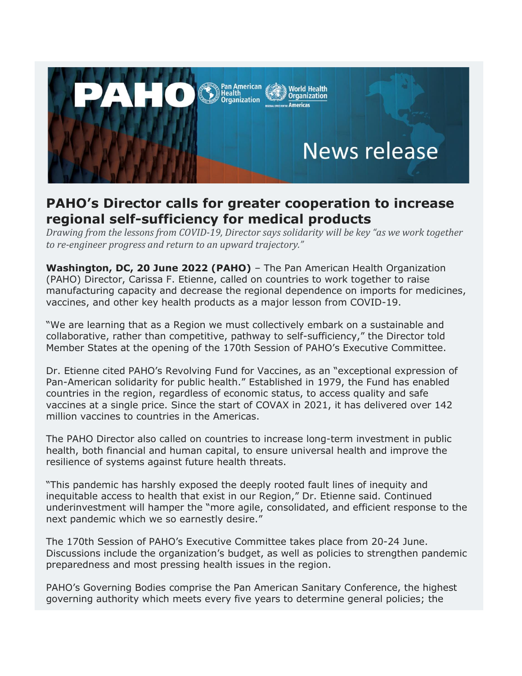

## **PAHO's Director calls for greater cooperation to increase regional self-sufficiency for medical products**

*Drawing from the lessons from COVID-19, Director says solidarity will be key "as we work together to re-engineer progress and return to an upward trajectory."*

**Washington, DC, 20 June 2022 (PAHO)** – The Pan American Health Organization (PAHO) Director, Carissa F. Etienne, called on countries to work together to raise manufacturing capacity and decrease the regional dependence on imports for medicines, vaccines, and other key health products as a major lesson from COVID-19.

"We are learning that as a Region we must collectively embark on a sustainable and collaborative, rather than competitive, pathway to self-sufficiency," the Director told Member States at the opening of the 170th Session of PAHO's Executive Committee.

Dr. Etienne cited PAHO's Revolving Fund for Vaccines, as an "exceptional expression of Pan-American solidarity for public health." Established in 1979, the Fund has enabled countries in the region, regardless of economic status, to access quality and safe vaccines at a single price. Since the start of COVAX in 2021, it has delivered over 142 million vaccines to countries in the Americas.

The PAHO Director also called on countries to increase long-term investment in public health, both financial and human capital, to ensure universal health and improve the resilience of systems against future health threats.

"This pandemic has harshly exposed the deeply rooted fault lines of inequity and inequitable access to health that exist in our Region," Dr. Etienne said. Continued underinvestment will hamper the "more agile, consolidated, and efficient response to the next pandemic which we so earnestly desire."

The 170th Session of PAHO's Executive Committee takes place from 20-24 June. Discussions include the organization's budget, as well as policies to strengthen pandemic preparedness and most pressing health issues in the region.

PAHO's Governing Bodies comprise the Pan American Sanitary Conference, the highest governing authority which meets every five years to determine general policies; the